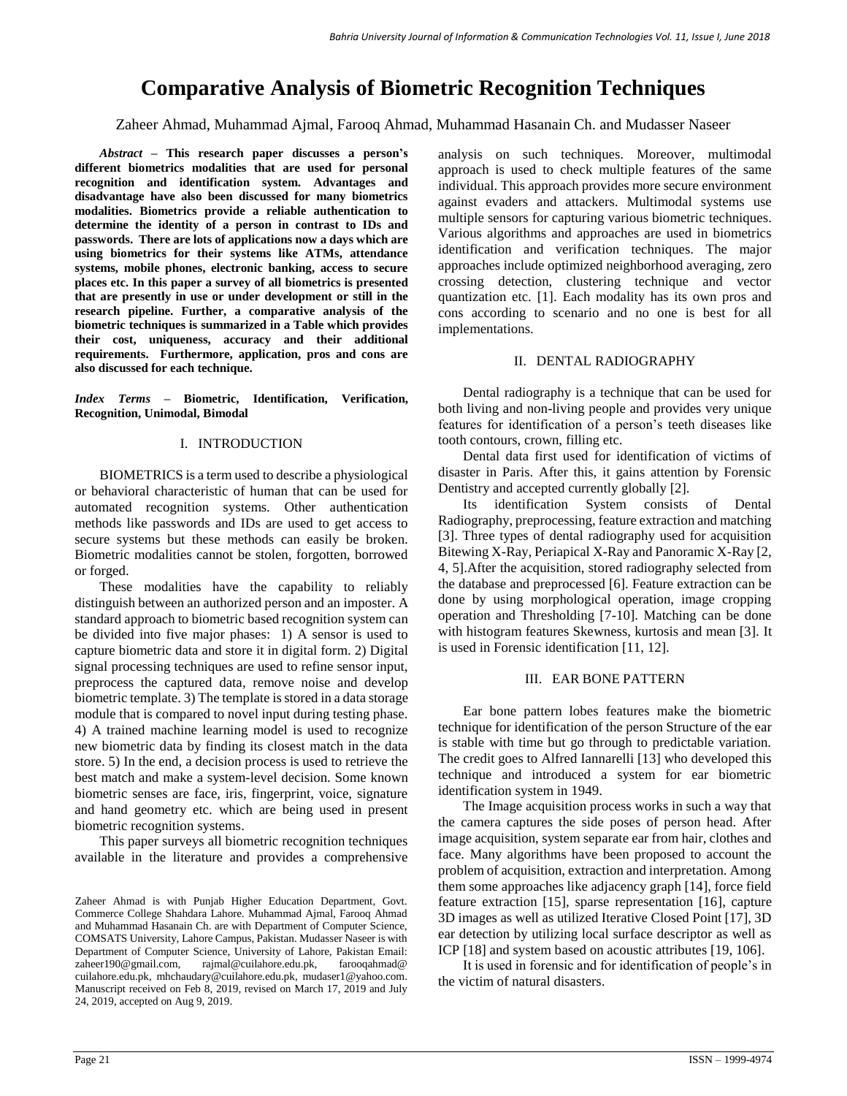# **Comparative Analysis of Biometric Recognition Techniques**

Zaheer Ahmad, Muhammad Ajmal, Farooq Ahmad, Muhammad Hasanain Ch. and Mudasser Naseer

*Abstract –* **This research paper discusses a person's different biometrics modalities that are used for personal recognition and identification system. Advantages and disadvantage have also been discussed for many biometrics modalities. Biometrics provide a reliable authentication to determine the identity of a person in contrast to IDs and passwords. There are lots of applications now a days which are using biometrics for their systems like ATMs, attendance systems, mobile phones, electronic banking, access to secure places etc. In this paper a survey of all biometrics is presented that are presently in use or under development or still in the research pipeline. Further, a comparative analysis of the biometric techniques is summarized in a Table which provides their cost, uniqueness, accuracy and their additional requirements. Furthermore, application, pros and cons are also discussed for each technique.**

*Index Terms –* **Biometric, Identification, Verification, Recognition, Unimodal, Bimodal**

### I. INTRODUCTION

BIOMETRICS is a term used to describe a physiological or behavioral characteristic of human that can be used for automated recognition systems. Other authentication methods like passwords and IDs are used to get access to secure systems but these methods can easily be broken. Biometric modalities cannot be stolen, forgotten, borrowed or forged.

These modalities have the capability to reliably distinguish between an authorized person and an imposter. A standard approach to biometric based recognition system can be divided into five major phases: 1) A sensor is used to capture biometric data and store it in digital form. 2) Digital signal processing techniques are used to refine sensor input, preprocess the captured data, remove noise and develop biometric template. 3) The template is stored in a data storage module that is compared to novel input during testing phase. 4) A trained machine learning model is used to recognize new biometric data by finding its closest match in the data store. 5) In the end, a decision process is used to retrieve the best match and make a system-level decision. Some known biometric senses are face, iris, fingerprint, voice, signature and hand geometry etc. which are being used in present biometric recognition systems.

This paper surveys all biometric recognition techniques available in the literature and provides a comprehensive analysis on such techniques. Moreover, multimodal approach is used to check multiple features of the same individual. This approach provides more secure environment against evaders and attackers. Multimodal systems use multiple sensors for capturing various biometric techniques. Various algorithms and approaches are used in biometrics identification and verification techniques. The major approaches include optimized neighborhood averaging, zero crossing detection, clustering technique and vector quantization etc. [1]. Each modality has its own pros and cons according to scenario and no one is best for all implementations.

### II. DENTAL RADIOGRAPHY

Dental radiography is a technique that can be used for both living and non-living people and provides very unique features for identification of a person's teeth diseases like tooth contours, crown, filling etc.

Dental data first used for identification of victims of disaster in Paris. After this, it gains attention by Forensic Dentistry and accepted currently globally [2].

Its identification System consists of Dental Radiography, preprocessing, feature extraction and matching [3]. Three types of dental radiography used for acquisition Bitewing X-Ray, Periapical X-Ray and Panoramic X-Ray [2, 4, 5].After the acquisition, stored radiography selected from the database and preprocessed [6]. Feature extraction can be done by using morphological operation, image cropping operation and Thresholding [7-10]. Matching can be done with histogram features Skewness, kurtosis and mean [3]. It is used in Forensic identification [11, 12].

### III. EAR BONE PATTERN

Ear bone pattern lobes features make the biometric technique for identification of the person Structure of the ear is stable with time but go through to predictable variation. The credit goes to Alfred Iannarelli [13] who developed this technique and introduced a system for ear biometric identification system in 1949.

The Image acquisition process works in such a way that the camera captures the side poses of person head. After image acquisition, system separate ear from hair, clothes and face. Many algorithms have been proposed to account the problem of acquisition, extraction and interpretation. Among them some approaches like adjacency graph [14], force field feature extraction [15], sparse representation [16], capture 3D images as well as utilized Iterative Closed Point [17], 3D ear detection by utilizing local surface descriptor as well as ICP [18] and system based on acoustic attributes [19, 106].

It is used in forensic and for identification of people's in the victim of natural disasters.

Zaheer Ahmad is with Punjab Higher Education Department, Govt. Commerce College Shahdara Lahore. Muhammad Ajmal, Farooq Ahmad and Muhammad Hasanain Ch. are with Department of Computer Science, COMSATS University, Lahore Campus, Pakistan. Mudasser Naseer is with Department of Computer Science, University of Lahore, Pakistan Email: zaheer190@gmail.com, rajmal@cuilahore.edu.pk, farooqahmad@ cuilahore.edu.pk, [mhchaudary@cuilahore.edu.pk,](mailto:mhchaudary@cuilahore.edu.pk) mudaser1@yahoo.com. Manuscript received on Feb 8, 2019, revised on March 17, 2019 and July 24, 2019, accepted on Aug 9, 2019.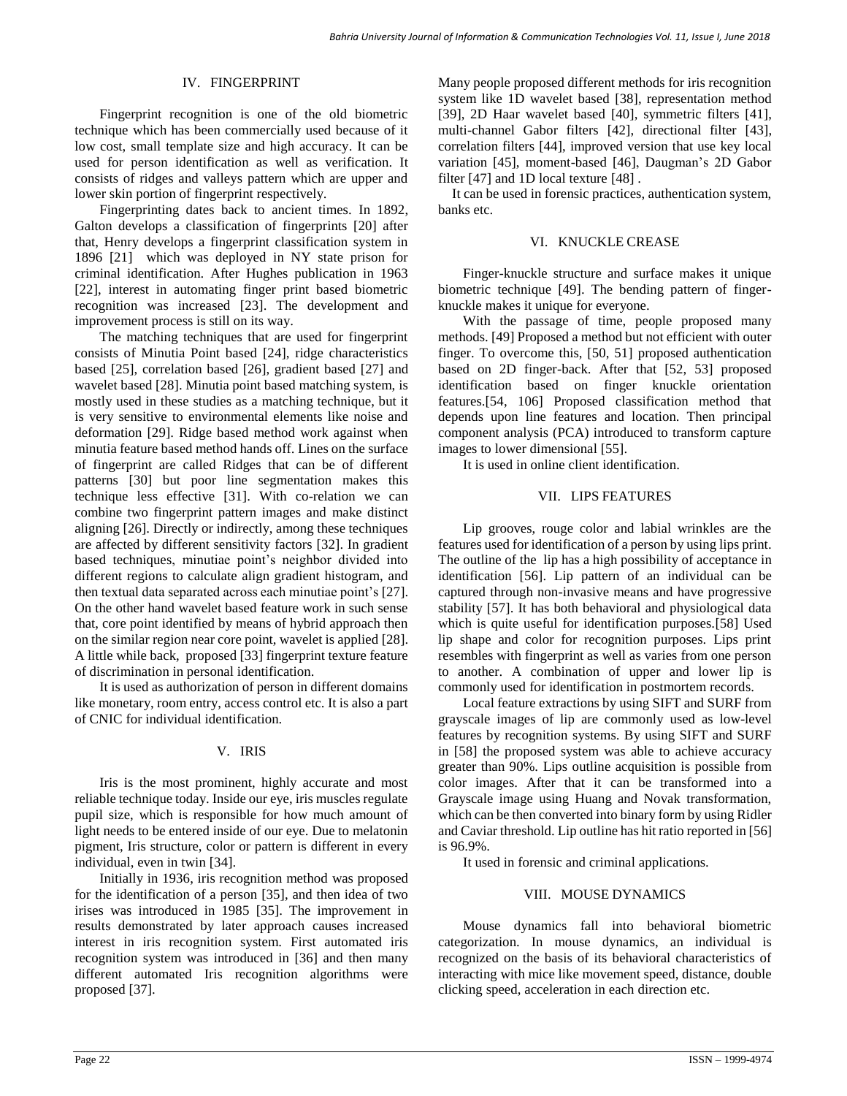### IV. FINGERPRINT

Fingerprint recognition is one of the old biometric technique which has been commercially used because of it low cost, small template size and high accuracy. It can be used for person identification as well as verification. It consists of ridges and valleys pattern which are upper and lower skin portion of fingerprint respectively.

Fingerprinting dates back to ancient times. In 1892, Galton develops a classification of fingerprints [\[20\]](#page-7-0) after that, Henry develops a fingerprint classification system in 1896 [\[21\]](#page-7-1) which was deployed in NY state prison for criminal identification. After Hughes publication in 1963 [\[22\]](#page-7-2), interest in automating finger print based biometric recognition was increased [\[23\]](#page-7-3). The development and improvement process is still on its way.

The matching techniques that are used for fingerprint consists of Minutia Point based [\[24\]](#page-7-4), ridge characteristics based [\[25\]](#page-7-5), correlation based [\[26\]](#page-7-6), gradient based [\[27\]](#page-7-7) and wavelet based [\[28\]](#page-7-8). Minutia point based matching system, is mostly used in these studies as a matching technique, but it is very sensitive to environmental elements like noise and deformation [\[29\]](#page-7-9). Ridge based method work against when minutia feature based method hands off. Lines on the surface of fingerprint are called Ridges that can be of different patterns [\[30\]](#page-7-10) but poor line segmentation makes this technique less effective [\[31\]](#page-7-11). With co-relation we can combine two fingerprint pattern images and make distinct aligning [\[26\]](#page-7-6). Directly or indirectly, among these techniques are affected by different sensitivity factors [\[32\]](#page-7-12). In gradient based techniques, minutiae point's neighbor divided into different regions to calculate align gradient histogram, and then textual data separated across each minutiae point's [\[27\]](#page-7-7). On the other hand wavelet based feature work in such sense that, core point identified by means of hybrid approach then on the similar region near core point, wavelet is applied [\[28\]](#page-7-8). A little while back, proposed [\[33\]](#page-7-13) fingerprint texture feature of discrimination in personal identification.

It is used as authorization of person in different domains like monetary, room entry, access control etc. It is also a part of CNIC for individual identification.

### V. IRIS

Iris is the most prominent, highly accurate and most reliable technique today. Inside our eye, iris muscles regulate pupil size, which is responsible for how much amount of light needs to be entered inside of our eye. Due to melatonin pigment, Iris structure, color or pattern is different in every individual, even in twin [\[34\]](#page-7-14).

Initially in 1936, iris recognition method was proposed for the identification of a person [\[35\]](#page-7-15), and then idea of two irises was introduced in 1985 [\[35\]](#page-7-15). The improvement in results demonstrated by later approach causes increased interest in iris recognition system. First automated iris recognition system was introduced in [\[36\]](#page-7-16) and then many different automated Iris recognition algorithms were proposed [\[37\]](#page-7-17).

Many people proposed different methods for iris recognition system like 1D wavelet based [\[38\]](#page-7-18), representation method [\[39\]](#page-7-19), 2D Haar wavelet based [\[40\]](#page-7-20), symmetric filters [\[41\]](#page-7-21), multi-channel Gabor filters [\[42\]](#page-7-22), directional filter [\[43\]](#page-8-0), correlation filters [\[44\]](#page-8-1), improved version that use key local variation [\[45\]](#page-8-2), moment-based [\[46\]](#page-8-3), Daugman's 2D Gabor filter [\[47\]](#page-8-4) and 1D local texture [\[48\]](#page-8-5) .

It can be used in forensic practices, authentication system, banks etc.

### VI. KNUCKLE CREASE

Finger-knuckle structure and surface makes it unique biometric technique [49]. The bending pattern of fingerknuckle makes it unique for everyone.

With the passage of time, people proposed many methods. [49] Proposed a method but not efficient with outer finger. To overcome this, [50, 51] proposed authentication based on 2D finger-back. After that [52, 53] proposed identification based on finger knuckle orientation features.[54, 106] Proposed classification method that depends upon line features and location. Then principal component analysis (PCA) introduced to transform capture images to lower dimensional [55].

It is used in online client identification.

### VII. LIPS FEATURES

Lip grooves, rouge color and labial wrinkles are the features used for identification of a person by using lips print. The outline of the lip has a high possibility of acceptance in identification [\[56\]](#page-8-6). Lip pattern of an individual can be captured through non-invasive means and have progressive stability [\[57\]](#page-8-7). It has both behavioral and physiological data which is quite useful for identification purposes.[\[58\]](#page-8-8) Used lip shape and color for recognition purposes. Lips print resembles with fingerprint as well as varies from one person to another. A combination of upper and lower lip is commonly used for identification in postmortem records.

Local feature extractions by using SIFT and SURF from grayscale images of lip are commonly used as low-level features by recognition systems. By using SIFT and SURF in [\[58\]](#page-8-8) the proposed system was able to achieve accuracy greater than 90%. Lips outline acquisition is possible from color images. After that it can be transformed into a Grayscale image using Huang and Novak transformation, which can be then converted into binary form by using Ridler and Caviar threshold. Lip outline has hit ratio reported in [\[56\]](#page-8-6) is 96.9%.

It used in forensic and criminal applications.

### VIII. MOUSE DYNAMICS

Mouse dynamics fall into behavioral biometric categorization. In mouse dynamics, an individual is recognized on the basis of its behavioral characteristics of interacting with mice like movement speed, distance, double clicking speed, acceleration in each direction etc.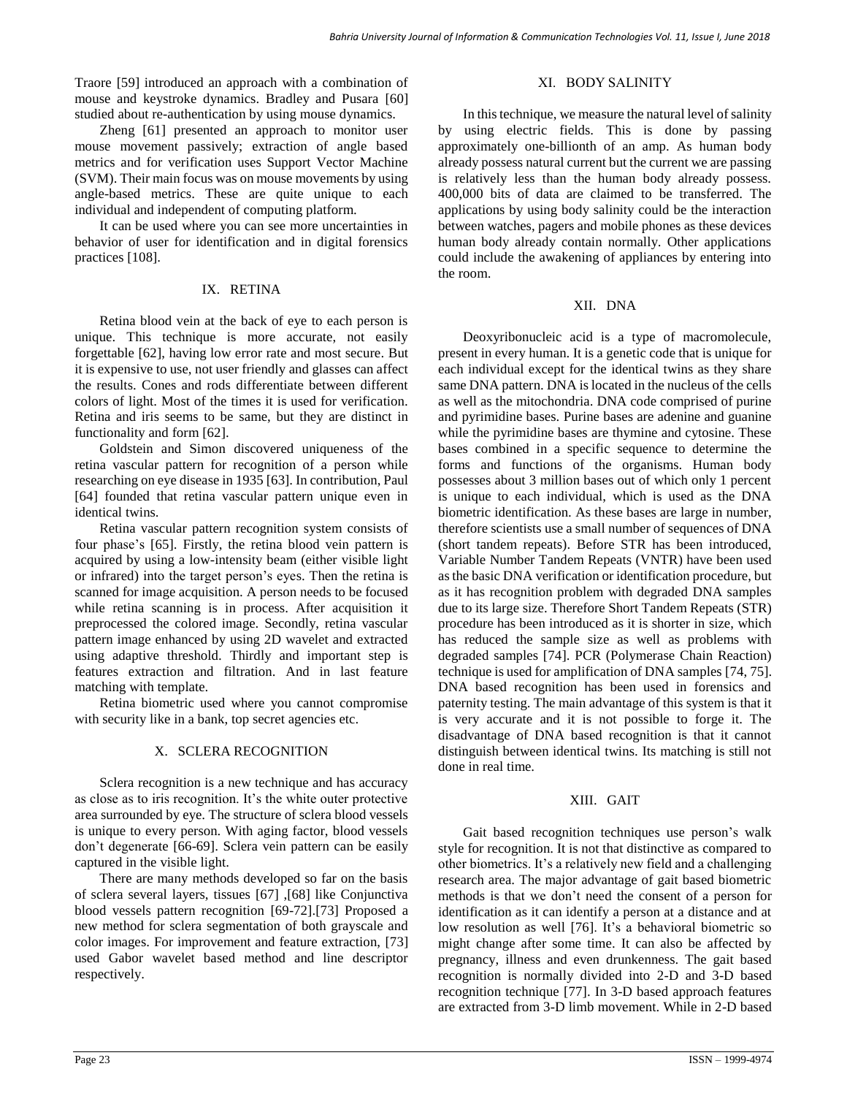Traore [\[59\]](#page-8-9) introduced an approach with a combination of mouse and keystroke dynamics. Bradley and Pusara [\[60\]](#page-8-10) studied about re-authentication by using mouse dynamics.

Zheng [\[61\]](#page-8-11) presented an approach to monitor user mouse movement passively; extraction of angle based metrics and for verification uses Support Vector Machine (SVM). Their main focus was on mouse movements by using angle-based metrics. These are quite unique to each individual and independent of computing platform.

It can be used where you can see more uncertainties in behavior of user for identification and in digital forensics practices [108].

### IX. RETINA

Retina blood vein at the back of eye to each person is unique. This technique is more accurate, not easily forgettable [\[62\]](#page-8-12), having low error rate and most secure. But it is expensive to use, not user friendly and glasses can affect the results. Cones and rods differentiate between different colors of light. Most of the times it is used for verification. Retina and iris seems to be same, but they are distinct in functionality and form [\[62\]](#page-8-12).

Goldstein and Simon discovered uniqueness of the retina vascular pattern for recognition of a person while researching on eye disease in 1935 [\[63\]](#page-8-13). In contribution, Paul [\[64\]](#page-8-14) founded that retina vascular pattern unique even in identical twins.

Retina vascular pattern recognition system consists of four phase's [\[65\]](#page-8-15). Firstly, the retina blood vein pattern is acquired by using a low-intensity beam (either visible light or infrared) into the target person's eyes. Then the retina is scanned for image acquisition. A person needs to be focused while retina scanning is in process. After acquisition it preprocessed the colored image. Secondly, retina vascular pattern image enhanced by using 2D wavelet and extracted using adaptive threshold. Thirdly and important step is features extraction and filtration. And in last feature matching with template.

Retina biometric used where you cannot compromise with security like in a bank, top secret agencies etc.

### X. SCLERA RECOGNITION

Sclera recognition is a new technique and has accuracy as close as to iris recognition. It's the white outer protective area surrounded by eye. The structure of sclera blood vessels is unique to every person. With aging factor, blood vessels don't degenerate [\[66-69\]](#page-8-16). Sclera vein pattern can be easily captured in the visible light.

There are many methods developed so far on the basis of sclera several layers, tissues [\[67\]](#page-8-17) ,[\[68\]](#page-8-18) like Conjunctiva blood vessels pattern recognition [\[69-72\]](#page-8-19).[\[73\]](#page-8-20) Proposed a new method for sclera segmentation of both grayscale and color images. For improvement and feature extraction, [\[73\]](#page-8-20) used Gabor wavelet based method and line descriptor respectively.

### XI. BODY SALINITY

In this technique, we measure the natural level of salinity by using electric fields. This is done by passing approximately one-billionth of an amp. As human body already possess natural current but the current we are passing is relatively less than the human body already possess. 400,000 bits of data are claimed to be transferred. The applications by using body salinity could be the interaction between watches, pagers and mobile phones as these devices human body already contain normally. Other applications could include the awakening of appliances by entering into the room.

### XII. DNA

Deoxyribonucleic acid is a type of macromolecule, present in every human. It is a genetic code that is unique for each individual except for the identical twins as they share same DNA pattern. DNA is located in the nucleus of the cells as well as the mitochondria. DNA code comprised of purine and pyrimidine bases. Purine bases are adenine and guanine while the pyrimidine bases are thymine and cytosine. These bases combined in a specific sequence to determine the forms and functions of the organisms. Human body possesses about 3 million bases out of which only 1 percent is unique to each individual, which is used as the DNA biometric identification. As these bases are large in number, therefore scientists use a small number of sequences of DNA (short tandem repeats). Before STR has been introduced, Variable Number Tandem Repeats (VNTR) have been used as the basic DNA verification or identification procedure, but as it has recognition problem with degraded DNA samples due to its large size. Therefore Short Tandem Repeats (STR) procedure has been introduced as it is shorter in size, which has reduced the sample size as well as problems with degraded samples [\[74\]](#page-8-21). PCR (Polymerase Chain Reaction) technique is used for amplification of DNA samples [\[74,](#page-8-21) [75\]](#page-8-22). DNA based recognition has been used in forensics and paternity testing. The main advantage of this system is that it is very accurate and it is not possible to forge it. The disadvantage of DNA based recognition is that it cannot distinguish between identical twins. Its matching is still not done in real time.

### XIII. GAIT

Gait based recognition techniques use person's walk style for recognition. It is not that distinctive as compared to other biometrics. It's a relatively new field and a challenging research area. The major advantage of gait based biometric methods is that we don't need the consent of a person for identification as it can identify a person at a distance and at low resolution as well [\[76\]](#page-8-23). It's a behavioral biometric so might change after some time. It can also be affected by pregnancy, illness and even drunkenness. The gait based recognition is normally divided into 2-D and 3-D based recognition technique [\[77\]](#page-8-24). In 3-D based approach features are extracted from 3-D limb movement. While in 2-D based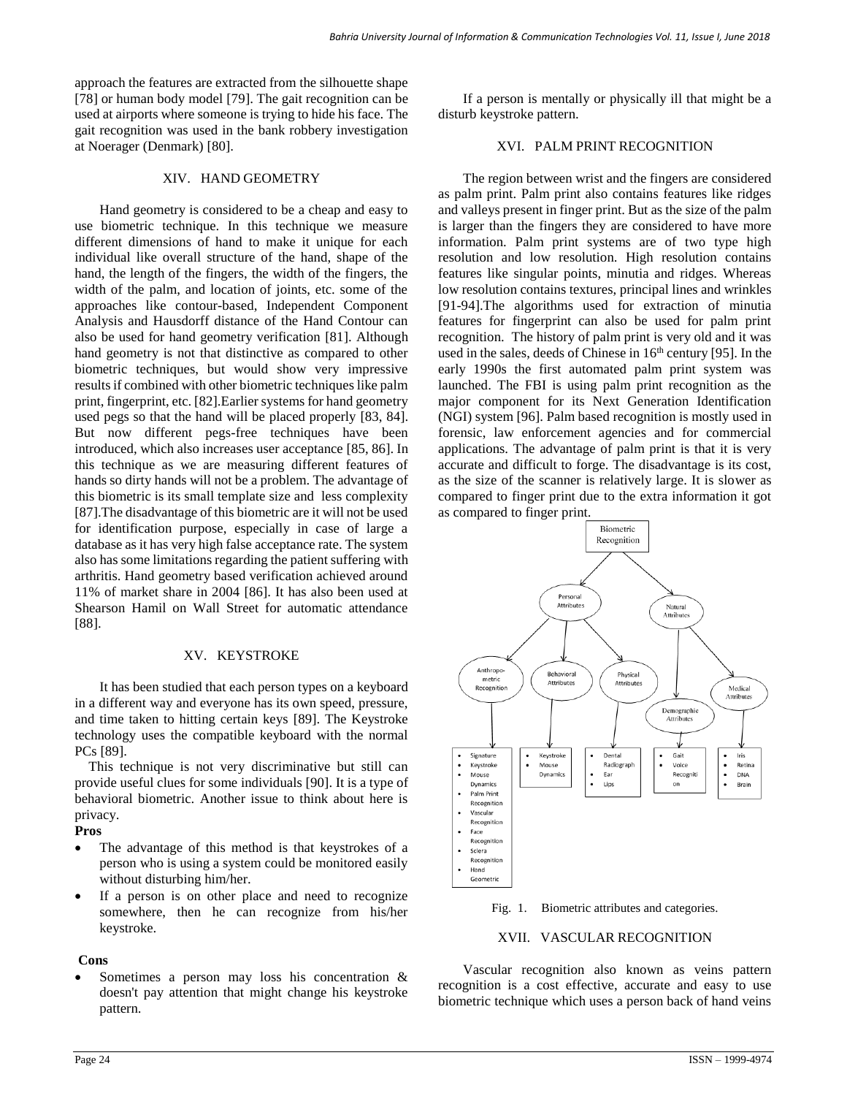approach the features are extracted from the silhouette shape [\[78\]](#page-8-25) or human body model [\[79\]](#page-8-26). The gait recognition can be used at airports where someone is trying to hide his face. The gait recognition was used in the bank robbery investigation at Noerager (Denmark) [\[80\]](#page-8-27).

### XIV. HAND GEOMETRY

Hand geometry is considered to be a cheap and easy to use biometric technique. In this technique we measure different dimensions of hand to make it unique for each individual like overall structure of the hand, shape of the hand, the length of the fingers, the width of the fingers, the width of the palm, and location of joints, etc. some of the approaches like contour-based, Independent Component Analysis and Hausdorff distance of the Hand Contour can also be used for hand geometry verification [\[81\]](#page-8-28). Although hand geometry is not that distinctive as compared to other biometric techniques, but would show very impressive results if combined with other biometric techniques like palm print, fingerprint, etc. [\[82\]](#page-8-29).Earlier systems for hand geometry used pegs so that the hand will be placed properly [\[83,](#page-8-30) [84\]](#page-9-0). But now different pegs-free techniques have been introduced, which also increases user acceptance [\[85,](#page-9-1) [86\]](#page-9-2). In this technique as we are measuring different features of hands so dirty hands will not be a problem. The advantage of this biometric is its small template size and less complexity [\[87\]](#page-9-3).The disadvantage of this biometric are it will not be used for identification purpose, especially in case of large a database as it has very high false acceptance rate. The system also has some limitations regarding the patient suffering with arthritis. Hand geometry based verification achieved around 11% of market share in 2004 [\[86\]](#page-9-2). It has also been used at Shearson Hamil on Wall Street for automatic attendance [\[88\]](#page-9-4).

### XV. KEYSTROKE

It has been studied that each person types on a keyboard in a different way and everyone has its own speed, pressure, and time taken to hitting certain keys [\[89\]](#page-9-5). The Keystroke technology uses the compatible keyboard with the normal PCs [\[89\]](#page-9-5).

This technique is not very discriminative but still can provide useful clues for some individuals [\[90\]](#page-9-6). It is a type of behavioral biometric. Another issue to think about here is privacy.

### **Pros**

- The advantage of this method is that keystrokes of a person who is using a system could be monitored easily without disturbing him/her.
- If a person is on other place and need to recognize somewhere, then he can recognize from his/her keystroke.

# **Cons**

 Sometimes a person may loss his concentration & doesn't pay attention that might change his keystroke pattern.

If a person is mentally or physically ill that might be a disturb keystroke pattern.

## XVI. PALM PRINT RECOGNITION

The region between wrist and the fingers are considered as palm print. Palm print also contains features like ridges and valleys present in finger print. But as the size of the palm is larger than the fingers they are considered to have more information. Palm print systems are of two type high resolution and low resolution. High resolution contains features like singular points, minutia and ridges. Whereas low resolution contains textures, principal lines and wrinkles [\[91-94\]](#page-9-7).The algorithms used for extraction of minutia features for fingerprint can also be used for palm print recognition. The history of palm print is very old and it was used in the sales, deeds of Chinese in  $16<sup>th</sup>$  century [\[95\]](#page-9-8). In the early 1990s the first automated palm print system was launched. The FBI is using palm print recognition as the major component for its Next Generation Identification (NGI) system [\[96\]](#page-9-9). Palm based recognition is mostly used in forensic, law enforcement agencies and for commercial applications. The advantage of palm print is that it is very accurate and difficult to forge. The disadvantage is its cost, as the size of the scanner is relatively large. It is slower as compared to finger print due to the extra information it got as compared to finger print.



Fig. 1. Biometric attributes and categories.

### XVII. VASCULAR RECOGNITION

Vascular recognition also known as veins pattern recognition is a cost effective, accurate and easy to use biometric technique which uses a person back of hand veins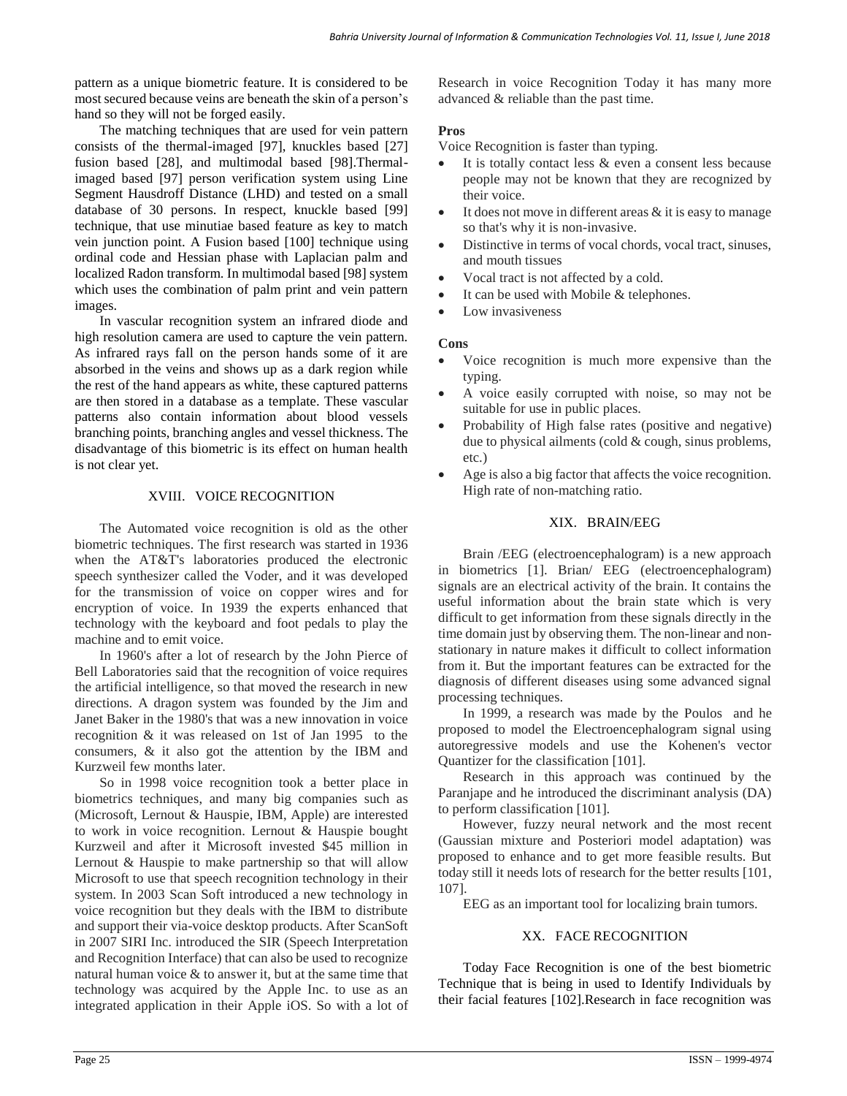pattern as a unique biometric feature. It is considered to be most secured because veins are beneath the skin of a person's hand so they will not be forged easily.

The matching techniques that are used for vein pattern consists of the thermal-imaged [97], knuckles based [27] fusion based [28], and multimodal based [98].Thermalimaged based [97] person verification system using Line Segment Hausdroff Distance (LHD) and tested on a small database of 30 persons. In respect, knuckle based [99] technique, that use minutiae based feature as key to match vein junction point. A Fusion based [100] technique using ordinal code and Hessian phase with Laplacian palm and localized Radon transform. In multimodal based [98] system which uses the combination of palm print and vein pattern images.

In vascular recognition system an infrared diode and high resolution camera are used to capture the vein pattern. As infrared rays fall on the person hands some of it are absorbed in the veins and shows up as a dark region while the rest of the hand appears as white, these captured patterns are then stored in a database as a template. These vascular patterns also contain information about blood vessels branching points, branching angles and vessel thickness. The disadvantage of this biometric is its effect on human health is not clear yet.

### XVIII. VOICE RECOGNITION

The Automated voice recognition is old as the other biometric techniques. The first research was started in 1936 when the AT&T's laboratories produced the electronic speech synthesizer called the Voder, and it was developed for the transmission of voice on copper wires and for encryption of voice. In 1939 the experts enhanced that technology with the keyboard and foot pedals to play the machine and to emit voice.

In 1960's after a lot of research by the John Pierce of Bell Laboratories said that the recognition of voice requires the artificial intelligence, so that moved the research in new directions. A dragon system was founded by the Jim and Janet Baker in the 1980's that was a new innovation in voice recognition & it was released on 1st of Jan 1995 to the consumers, & it also got the attention by the IBM and Kurzweil few months later.

So in 1998 voice recognition took a better place in biometrics techniques, and many big companies such as (Microsoft, Lernout & Hauspie, IBM, Apple) are interested to work in voice recognition. Lernout & Hauspie bought Kurzweil and after it Microsoft invested \$45 million in Lernout & Hauspie to make partnership so that will allow Microsoft to use that speech recognition technology in their system. In 2003 Scan Soft introduced a new technology in voice recognition but they deals with the IBM to distribute and support their via-voice desktop products. After ScanSoft in 2007 SIRI Inc. introduced the SIR (Speech Interpretation and Recognition Interface) that can also be used to recognize natural human voice & to answer it, but at the same time that technology was acquired by the Apple Inc. to use as an integrated application in their Apple iOS. So with a lot of

Research in voice Recognition Today it has many more advanced & reliable than the past time.

### **Pros**

Voice Recognition is faster than typing.

- It is totally contact less & even a consent less because people may not be known that they are recognized by their voice.
- It does not move in different areas  $\&$  it is easy to manage so that's why it is non-invasive.
- Distinctive in terms of vocal chords, vocal tract, sinuses, and mouth tissues
- Vocal tract is not affected by a cold.
- It can be used with Mobile & telephones.
- Low invasiveness

#### **Cons**

- Voice recognition is much more expensive than the typing.
- A voice easily corrupted with noise, so may not be suitable for use in public places.
- Probability of High false rates (positive and negative) due to physical ailments (cold & cough, sinus problems, etc.)
- Age is also a big factor that affects the voice recognition. High rate of non-matching ratio.

### XIX. BRAIN/EEG

Brain /EEG (electroencephalogram) is a new approach in biometrics [1]. Brian/ EEG (electroencephalogram) signals are an electrical activity of the brain. It contains the useful information about the brain state which is very difficult to get information from these signals directly in the time domain just by observing them. The non-linear and nonstationary in nature makes it difficult to collect information from it. But the important features can be extracted for the diagnosis of different diseases using some advanced signal processing techniques.

In 1999, a research was made by the Poulos and he proposed to model the Electroencephalogram signal using autoregressive models and use the Kohenen's vector Quantizer for the classification [101].

Research in this approach was continued by the Paranjape and he introduced the discriminant analysis (DA) to perform classification [101].

However, fuzzy neural network and the most recent (Gaussian mixture and Posteriori model adaptation) was proposed to enhance and to get more feasible results. But today still it needs lots of research for the better results [101, 107].

EEG as an important tool for localizing brain tumors.

### XX. FACE RECOGNITION

Today Face Recognition is one of the best biometric Technique that is being in used to Identify Individuals by their facial features [102].Research in face recognition was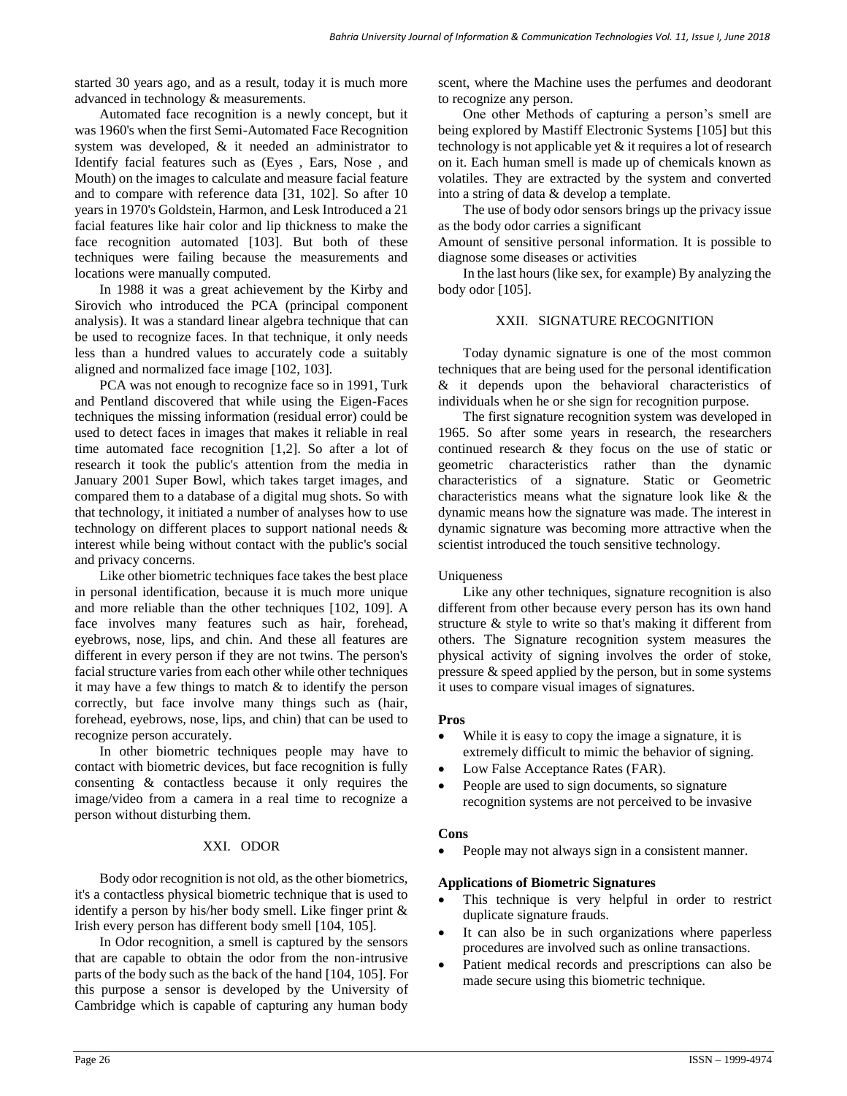started 30 years ago, and as a result, today it is much more advanced in technology & measurements.

Automated face recognition is a newly concept, but it was 1960's when the first Semi-Automated Face Recognition system was developed, & it needed an administrator to Identify facial features such as (Eyes , Ears, Nose , and Mouth) on the images to calculate and measure facial feature and to compare with reference data [31, 102]. So after 10 years in 1970's Goldstein, Harmon, and Lesk Introduced a 21 facial features like hair color and lip thickness to make the face recognition automated [103]. But both of these techniques were failing because the measurements and locations were manually computed.

In 1988 it was a great achievement by the Kirby and Sirovich who introduced the PCA (principal component analysis). It was a standard linear algebra technique that can be used to recognize faces. In that technique, it only needs less than a hundred values to accurately code a suitably aligned and normalized face image [102, 103].

PCA was not enough to recognize face so in 1991, Turk and Pentland discovered that while using the Eigen-Faces techniques the missing information (residual error) could be used to detect faces in images that makes it reliable in real time automated face recognition [1,2]. So after a lot of research it took the public's attention from the media in January 2001 Super Bowl, which takes target images, and compared them to a database of a digital mug shots. So with that technology, it initiated a number of analyses how to use technology on different places to support national needs & interest while being without contact with the public's social and privacy concerns.

Like other biometric techniques face takes the best place in personal identification, because it is much more unique and more reliable than the other techniques [102, 109]. A face involves many features such as hair, forehead, eyebrows, nose, lips, and chin. And these all features are different in every person if they are not twins. The person's facial structure varies from each other while other techniques it may have a few things to match & to identify the person correctly, but face involve many things such as (hair, forehead, eyebrows, nose, lips, and chin) that can be used to recognize person accurately.

In other biometric techniques people may have to contact with biometric devices, but face recognition is fully consenting & contactless because it only requires the image/video from a camera in a real time to recognize a person without disturbing them.

### XXI. ODOR

Body odor recognition is not old, as the other biometrics, it's a contactless physical biometric technique that is used to identify a person by his/her body smell. Like finger print & Irish every person has different body smell [\[104,](#page-9-10) [105\]](#page-9-11).

In Odor recognition, a smell is captured by the sensors that are capable to obtain the odor from the non-intrusive parts of the body such as the back of the hand [\[104,](#page-9-10) [105\]](#page-9-11). For this purpose a sensor is developed by the University of Cambridge which is capable of capturing any human body

scent, where the Machine uses the perfumes and deodorant to recognize any person.

One other Methods of capturing a person's smell are being explored by Mastiff Electronic Systems [\[105\]](#page-9-11) but this technology is not applicable yet & it requires a lot of research on it. Each human smell is made up of chemicals known as volatiles. They are extracted by the system and converted into a string of data & develop a template.

The use of body odor sensors brings up the privacy issue as the body odor carries a significant

Amount of sensitive personal information. It is possible to diagnose some diseases or activities

In the last hours (like sex, for example) By analyzing the body odor [\[105\]](#page-9-11).

## XXII. SIGNATURE RECOGNITION

Today dynamic signature is one of the most common techniques that are being used for the personal identification & it depends upon the behavioral characteristics of individuals when he or she sign for recognition purpose.

The first signature recognition system was developed in 1965. So after some years in research, the researchers continued research & they focus on the use of static or geometric characteristics rather than the dynamic characteristics of a signature. Static or Geometric characteristics means what the signature look like & the dynamic means how the signature was made. The interest in dynamic signature was becoming more attractive when the scientist introduced the touch sensitive technology.

### Uniqueness

Like any other techniques, signature recognition is also different from other because every person has its own hand structure & style to write so that's making it different from others. The Signature recognition system measures the physical activity of signing involves the order of stoke, pressure & speed applied by the person, but in some systems it uses to compare visual images of signatures.

### **Pros**

- While it is easy to copy the image a signature, it is extremely difficult to mimic the behavior of signing.
- Low False Acceptance Rates (FAR).
- People are used to sign documents, so signature recognition systems are not perceived to be invasive

### **Cons**

People may not always sign in a consistent manner.

### **Applications of Biometric Signatures**

- This technique is very helpful in order to restrict duplicate signature frauds.
- It can also be in such organizations where paperless procedures are involved such as online transactions.
- Patient medical records and prescriptions can also be made secure using this biometric technique.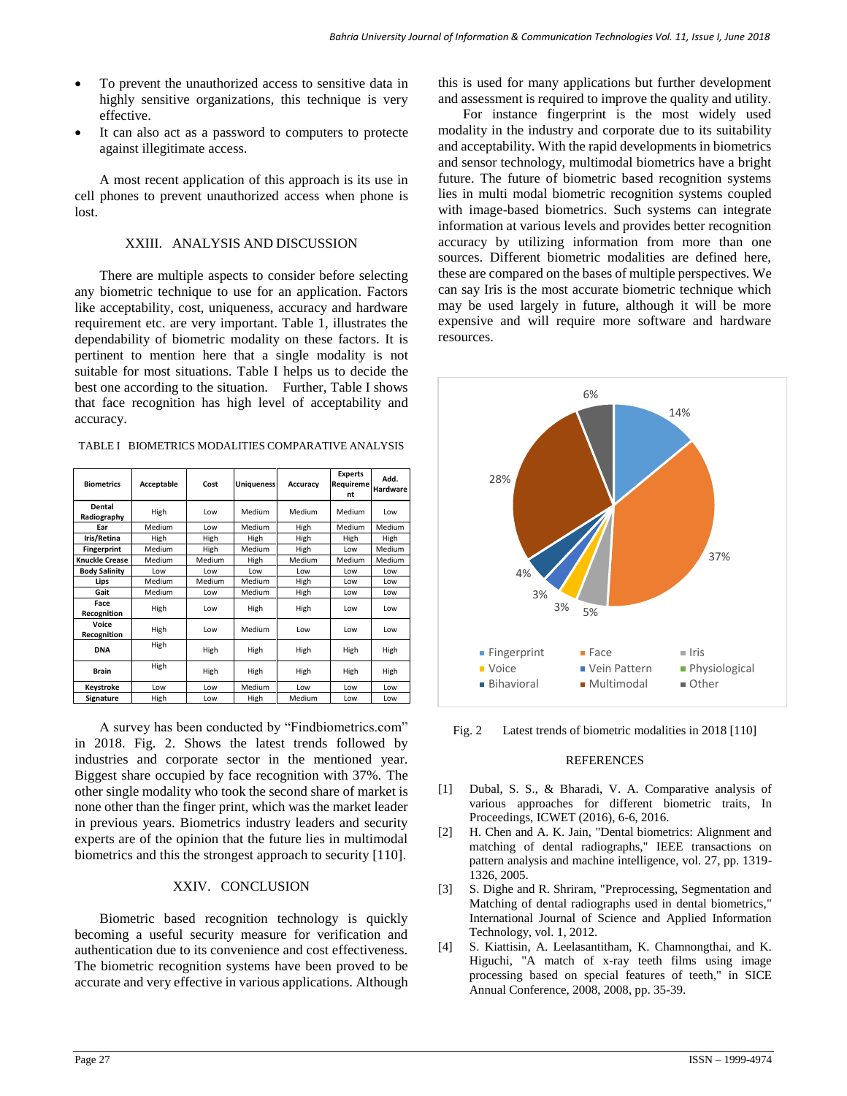- To prevent the unauthorized access to sensitive data in highly sensitive organizations, this technique is very effective.
- It can also act as a password to computers to protecte against illegitimate access.

A most recent application of this approach is its use in cell phones to prevent unauthorized access when phone is lost.

### XXIII. ANALYSIS AND DISCUSSION

There are multiple aspects to consider before selecting any biometric technique to use for an application. Factors like acceptability, cost, uniqueness, accuracy and hardware requirement etc. are very important. Table 1, illustrates the dependability of biometric modality on these factors. It is pertinent to mention here that a single modality is not suitable for most situations. Table I helps us to decide the best one according to the situation. Further, Table I shows that face recognition has high level of acceptability and accuracy.

| <b>Biometrics</b>     | Acceptable | Cost   | <b>Uniqueness</b> | Accuracy | <b>Experts</b><br>Requireme<br>nt | Add.<br><b>Hardware</b> |
|-----------------------|------------|--------|-------------------|----------|-----------------------------------|-------------------------|
| Dental<br>Radiography | High       | Low    | Medium            | Medium   | Medium                            | Low                     |
| Ear                   | Medium     | Low    | Medium            | High     | Medium                            | <b>Medium</b>           |
| Iris/Retina           | High       | High   | High              | High     | High                              | High                    |
| <b>Fingerprint</b>    | Medium     | High   | Medium            | High     | Low                               | Medium                  |
| <b>Knuckle Crease</b> | Medium     | Medium | High              | Medium   | <b>Medium</b>                     | <b>Medium</b>           |
| <b>Body Salinity</b>  | Low        | Low    | Low               | Low      | Low                               | Low                     |
| Lips                  | Medium     | Medium | Medium            | High     | Low                               | Low                     |
| Gait                  | Medium     | Low    | Medium            | High     | Low                               | Low                     |
| Face<br>Recognition   | High       | Low    | High              | High     | Low                               | Low                     |
| Voice<br>Recognition  | High       | Low    | Medium            | Low      | Low                               | Low                     |
| <b>DNA</b>            | High       | High   | High              | High     | High                              | High                    |
| <b>Brain</b>          | High       | High   | High              | High     | High                              | High                    |

TABLE I BIOMETRICS MODALITIES COMPARATIVE ANALYSIS

A survey has been conducted by "Findbiometrics.com" in 2018. Fig. 2. Shows the latest trends followed by industries and corporate sector in the mentioned year. Biggest share occupied by face recognition with 37%. The other single modality who took the second share of market is none other than the finger print, which was the market leader in previous years. Biometrics industry leaders and security experts are of the opinion that the future lies in multimodal biometrics and this the strongest approach to security [110].

**Keystroke** Low Low Medium Low Low Low **Signature** High Low High Medium Low Low

### XXIV. CONCLUSION

Biometric based recognition technology is quickly becoming a useful security measure for verification and authentication due to its convenience and cost effectiveness. The biometric recognition systems have been proved to be accurate and very effective in various applications. Although this is used for many applications but further development and assessment is required to improve the quality and utility.

For instance fingerprint is the most widely used modality in the industry and corporate due to its suitability and acceptability. With the rapid developments in biometrics and sensor technology, multimodal biometrics have a bright future. The future of biometric based recognition systems lies in multi modal biometric recognition systems coupled with image-based biometrics. Such systems can integrate information at various levels and provides better recognition accuracy by utilizing information from more than one sources. Different biometric modalities are defined here, these are compared on the bases of multiple perspectives. We can say Iris is the most accurate biometric technique which may be used largely in future, although it will be more expensive and will require more software and hardware resources.



Fig. 2 Latest trends of biometric modalities in 2018 [110]

#### **REFERENCES**

- [1] Dubal, S. S., & Bharadi, V. A. Comparative analysis of various approaches for different biometric traits, In Proceedings, ICWET (2016), 6-6, 2016.
- [2] H. Chen and A. K. Jain, "Dental biometrics: Alignment and matching of dental radiographs," IEEE transactions on pattern analysis and machine intelligence, vol. 27, pp. 1319- 1326, 2005.
- [3] S. Dighe and R. Shriram, "Preprocessing, Segmentation and Matching of dental radiographs used in dental biometrics," International Journal of Science and Applied Information Technology, vol. 1, 2012.
- [4] S. Kiattisin, A. Leelasantitham, K. Chamnongthai, and K. Higuchi, "A match of x-ray teeth films using image processing based on special features of teeth," in SICE Annual Conference, 2008, 2008, pp. 35-39.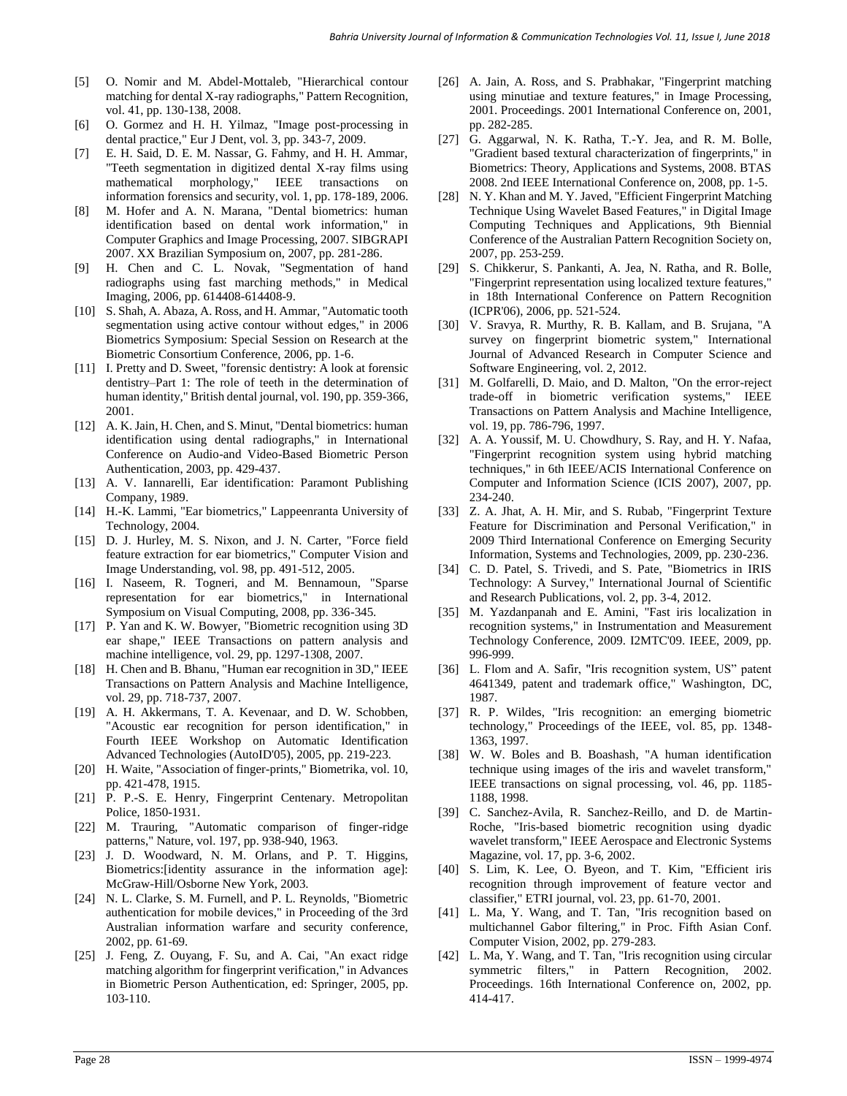- [5] O. Nomir and M. Abdel-Mottaleb, "Hierarchical contour matching for dental X-ray radiographs," Pattern Recognition, vol. 41, pp. 130-138, 2008.
- [6] O. Gormez and H. H. Yilmaz, "Image post-processing in dental practice," Eur J Dent, vol. 3, pp. 343-7, 2009.
- [7] E. H. Said, D. E. M. Nassar, G. Fahmy, and H. H. Ammar, "Teeth segmentation in digitized dental X-ray films using mathematical morphology," IEEE transactions on information forensics and security, vol. 1, pp. 178-189, 2006.
- [8] M. Hofer and A. N. Marana, "Dental biometrics: human identification based on dental work information," in Computer Graphics and Image Processing, 2007. SIBGRAPI 2007. XX Brazilian Symposium on, 2007, pp. 281-286.
- [9] H. Chen and C. L. Novak, "Segmentation of hand radiographs using fast marching methods," in Medical Imaging, 2006, pp. 614408-614408-9.
- [10] S. Shah, A. Abaza, A. Ross, and H. Ammar, "Automatic tooth segmentation using active contour without edges," in 2006 Biometrics Symposium: Special Session on Research at the Biometric Consortium Conference, 2006, pp. 1-6.
- [11] I. Pretty and D. Sweet, "forensic dentistry: A look at forensic dentistry–Part 1: The role of teeth in the determination of human identity," British dental journal, vol. 190, pp. 359-366, 2001.
- [12] A. K. Jain, H. Chen, and S. Minut, "Dental biometrics: human identification using dental radiographs," in International Conference on Audio-and Video-Based Biometric Person Authentication, 2003, pp. 429-437.
- [13] A. V. Iannarelli, Ear identification: Paramont Publishing Company, 1989.
- [14] H.-K. Lammi, "Ear biometrics," Lappeenranta University of Technology, 2004.
- [15] D. J. Hurley, M. S. Nixon, and J. N. Carter, "Force field feature extraction for ear biometrics," Computer Vision and Image Understanding, vol. 98, pp. 491-512, 2005.
- [16] I. Naseem, R. Togneri, and M. Bennamoun, "Sparse representation for ear biometrics," in International Symposium on Visual Computing, 2008, pp. 336-345.
- [17] P. Yan and K. W. Bowyer, "Biometric recognition using 3D ear shape," IEEE Transactions on pattern analysis and machine intelligence, vol. 29, pp. 1297-1308, 2007.
- [18] H. Chen and B. Bhanu, "Human ear recognition in 3D," IEEE Transactions on Pattern Analysis and Machine Intelligence, vol. 29, pp. 718-737, 2007.
- [19] A. H. Akkermans, T. A. Kevenaar, and D. W. Schobben, "Acoustic ear recognition for person identification," in Fourth IEEE Workshop on Automatic Identification Advanced Technologies (AutoID'05), 2005, pp. 219-223.
- <span id="page-7-0"></span>[20] H. Waite, "Association of finger-prints," Biometrika, vol. 10, pp. 421-478, 1915.
- <span id="page-7-1"></span>[21] P. P.-S. E. Henry, Fingerprint Centenary. Metropolitan Police, 1850-1931.
- <span id="page-7-2"></span>[22] M. Trauring, "Automatic comparison of finger-ridge patterns," Nature, vol. 197, pp. 938-940, 1963.
- <span id="page-7-3"></span>[23] J. D. Woodward, N. M. Orlans, and P. T. Higgins, Biometrics:[identity assurance in the information age]: McGraw-Hill/Osborne New York, 2003.
- <span id="page-7-4"></span>[24] N. L. Clarke, S. M. Furnell, and P. L. Reynolds, "Biometric authentication for mobile devices," in Proceeding of the 3rd Australian information warfare and security conference, 2002, pp. 61-69.
- <span id="page-7-5"></span>[25] J. Feng, Z. Ouyang, F. Su, and A. Cai, "An exact ridge matching algorithm for fingerprint verification," in Advances in Biometric Person Authentication, ed: Springer, 2005, pp. 103-110.
- <span id="page-7-6"></span>[26] A. Jain, A. Ross, and S. Prabhakar, "Fingerprint matching using minutiae and texture features," in Image Processing, 2001. Proceedings. 2001 International Conference on, 2001, pp. 282-285.
- <span id="page-7-7"></span>[27] G. Aggarwal, N. K. Ratha, T.-Y. Jea, and R. M. Bolle, "Gradient based textural characterization of fingerprints," in Biometrics: Theory, Applications and Systems, 2008. BTAS 2008. 2nd IEEE International Conference on, 2008, pp. 1-5.
- <span id="page-7-8"></span>[28] N. Y. Khan and M. Y. Javed, "Efficient Fingerprint Matching Technique Using Wavelet Based Features," in Digital Image Computing Techniques and Applications, 9th Biennial Conference of the Australian Pattern Recognition Society on, 2007, pp. 253-259.
- <span id="page-7-9"></span>[29] S. Chikkerur, S. Pankanti, A. Jea, N. Ratha, and R. Bolle, "Fingerprint representation using localized texture features," in 18th International Conference on Pattern Recognition (ICPR'06), 2006, pp. 521-524.
- <span id="page-7-10"></span>[30] V. Sravya, R. Murthy, R. B. Kallam, and B. Srujana, "A survey on fingerprint biometric system," International Journal of Advanced Research in Computer Science and Software Engineering, vol. 2, 2012.
- <span id="page-7-11"></span>[31] M. Golfarelli, D. Maio, and D. Malton, "On the error-reject trade-off in biometric verification systems," IEEE Transactions on Pattern Analysis and Machine Intelligence, vol. 19, pp. 786-796, 1997.
- <span id="page-7-12"></span>[32] A. A. Youssif, M. U. Chowdhury, S. Ray, and H. Y. Nafaa, "Fingerprint recognition system using hybrid matching techniques," in 6th IEEE/ACIS International Conference on Computer and Information Science (ICIS 2007), 2007, pp. 234-240.
- <span id="page-7-13"></span>[33] Z. A. Jhat, A. H. Mir, and S. Rubab, "Fingerprint Texture Feature for Discrimination and Personal Verification," in 2009 Third International Conference on Emerging Security Information, Systems and Technologies, 2009, pp. 230-236.
- <span id="page-7-14"></span>[34] C. D. Patel, S. Trivedi, and S. Pate, "Biometrics in IRIS Technology: A Survey," International Journal of Scientific and Research Publications, vol. 2, pp. 3-4, 2012.
- <span id="page-7-15"></span>[35] M. Yazdanpanah and E. Amini, "Fast iris localization in recognition systems," in Instrumentation and Measurement Technology Conference, 2009. I2MTC'09. IEEE, 2009, pp. 996-999.
- <span id="page-7-16"></span>[36] L. Flom and A. Safir, "Iris recognition system, US" patent 4641349, patent and trademark office," Washington, DC, 1987.
- <span id="page-7-17"></span>[37] R. P. Wildes, "Iris recognition: an emerging biometric technology," Proceedings of the IEEE, vol. 85, pp. 1348- 1363, 1997.
- <span id="page-7-18"></span>[38] W. W. Boles and B. Boashash, "A human identification technique using images of the iris and wavelet transform," IEEE transactions on signal processing, vol. 46, pp. 1185- 1188, 1998.
- <span id="page-7-19"></span>[39] C. Sanchez-Avila, R. Sanchez-Reillo, and D. de Martin-Roche, "Iris-based biometric recognition using dyadic wavelet transform," IEEE Aerospace and Electronic Systems Magazine, vol. 17, pp. 3-6, 2002.
- <span id="page-7-20"></span>[40] S. Lim, K. Lee, O. Byeon, and T. Kim, "Efficient iris recognition through improvement of feature vector and classifier," ETRI journal, vol. 23, pp. 61-70, 2001.
- <span id="page-7-21"></span>[41] L. Ma, Y. Wang, and T. Tan, "Iris recognition based on multichannel Gabor filtering," in Proc. Fifth Asian Conf. Computer Vision, 2002, pp. 279-283.
- <span id="page-7-22"></span>[42] L. Ma, Y. Wang, and T. Tan, "Iris recognition using circular symmetric filters," in Pattern Recognition, 2002. Proceedings. 16th International Conference on, 2002, pp. 414-417.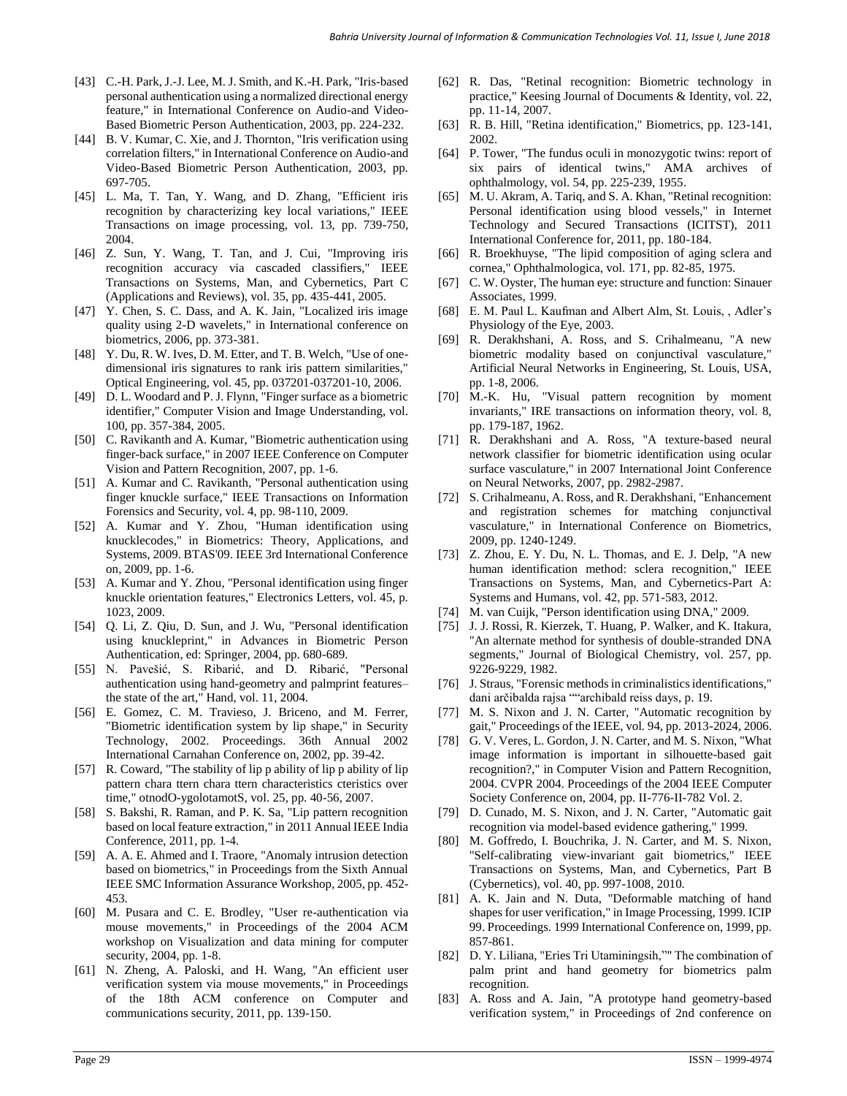- <span id="page-8-0"></span>[43] C.-H. Park, J.-J. Lee, M. J. Smith, and K.-H. Park, "Iris-based personal authentication using a normalized directional energy feature," in International Conference on Audio-and Video-Based Biometric Person Authentication, 2003, pp. 224-232.
- <span id="page-8-1"></span>[44] B. V. Kumar, C. Xie, and J. Thornton, "Iris verification using correlation filters," in International Conference on Audio-and Video-Based Biometric Person Authentication, 2003, pp. 697-705.
- <span id="page-8-2"></span>[45] L. Ma, T. Tan, Y. Wang, and D. Zhang, "Efficient iris recognition by characterizing key local variations," IEEE Transactions on image processing, vol. 13, pp. 739-750, 2004.
- <span id="page-8-3"></span>[46] Z. Sun, Y. Wang, T. Tan, and J. Cui, "Improving iris recognition accuracy via cascaded classifiers," IEEE Transactions on Systems, Man, and Cybernetics, Part C (Applications and Reviews), vol. 35, pp. 435-441, 2005.
- <span id="page-8-4"></span>[47] Y. Chen, S. C. Dass, and A. K. Jain, "Localized iris image quality using 2-D wavelets," in International conference on biometrics, 2006, pp. 373-381.
- <span id="page-8-5"></span>[48] Y. Du, R. W. Ives, D. M. Etter, and T. B. Welch, "Use of onedimensional iris signatures to rank iris pattern similarities," Optical Engineering, vol. 45, pp. 037201-037201-10, 2006.
- [49] D. L. Woodard and P. J. Flynn, "Finger surface as a biometric identifier," Computer Vision and Image Understanding, vol. 100, pp. 357-384, 2005.
- [50] C. Ravikanth and A. Kumar, "Biometric authentication using finger-back surface," in 2007 IEEE Conference on Computer Vision and Pattern Recognition, 2007, pp. 1-6.
- [51] A. Kumar and C. Ravikanth, "Personal authentication using finger knuckle surface," IEEE Transactions on Information Forensics and Security, vol. 4, pp. 98-110, 2009.
- [52] A. Kumar and Y. Zhou, "Human identification using knucklecodes," in Biometrics: Theory, Applications, and Systems, 2009. BTAS'09. IEEE 3rd International Conference on, 2009, pp. 1-6.
- [53] A. Kumar and Y. Zhou, "Personal identification using finger knuckle orientation features," Electronics Letters, vol. 45, p. 1023, 2009.
- [54] Q. Li, Z. Qiu, D. Sun, and J. Wu, "Personal identification using knuckleprint," in Advances in Biometric Person Authentication, ed: Springer, 2004, pp. 680-689.
- [55] N. Pavešić, S. Ribarić, and D. Ribarić, "Personal authentication using hand-geometry and palmprint features– the state of the art," Hand, vol. 11, 2004.
- <span id="page-8-6"></span>[56] E. Gomez, C. M. Travieso, J. Briceno, and M. Ferrer, "Biometric identification system by lip shape," in Security Technology, 2002. Proceedings. 36th Annual 2002 International Carnahan Conference on, 2002, pp. 39-42.
- <span id="page-8-7"></span>[57] R. Coward, "The stability of lip p ability of lip p ability of lip pattern chara ttern chara ttern characteristics cteristics over time," otnodO-ygolotamotS, vol. 25, pp. 40-56, 2007.
- <span id="page-8-8"></span>[58] S. Bakshi, R. Raman, and P. K. Sa, "Lip pattern recognition based on local feature extraction," in 2011 Annual IEEE India Conference, 2011, pp. 1-4.
- <span id="page-8-9"></span>[59] A. A. E. Ahmed and I. Traore, "Anomaly intrusion detection based on biometrics," in Proceedings from the Sixth Annual IEEE SMC Information Assurance Workshop, 2005, pp. 452- 453.
- <span id="page-8-10"></span>[60] M. Pusara and C. E. Brodley, "User re-authentication via mouse movements," in Proceedings of the 2004 ACM workshop on Visualization and data mining for computer security, 2004, pp. 1-8.
- <span id="page-8-11"></span>[61] N. Zheng, A. Paloski, and H. Wang, "An efficient user verification system via mouse movements," in Proceedings of the 18th ACM conference on Computer and communications security, 2011, pp. 139-150.
- <span id="page-8-12"></span>[62] R. Das, "Retinal recognition: Biometric technology in practice," Keesing Journal of Documents & Identity, vol. 22, pp. 11-14, 2007.
- <span id="page-8-13"></span>[63] R. B. Hill, "Retina identification," Biometrics, pp. 123-141, 2002.
- <span id="page-8-14"></span>[64] P. Tower, "The fundus oculi in monozygotic twins: report of six pairs of identical twins," AMA archives of ophthalmology, vol. 54, pp. 225-239, 1955.
- <span id="page-8-15"></span>[65] M. U. Akram, A. Tariq, and S. A. Khan, "Retinal recognition: Personal identification using blood vessels," in Internet Technology and Secured Transactions (ICITST), 2011 International Conference for, 2011, pp. 180-184.
- <span id="page-8-16"></span>[66] R. Broekhuyse, "The lipid composition of aging sclera and cornea," Ophthalmologica, vol. 171, pp. 82-85, 1975.
- <span id="page-8-17"></span>[67] C. W. Oyster, The human eye: structure and function: Sinauer Associates, 1999.
- <span id="page-8-18"></span>[68] E. M. Paul L. Kaufman and Albert Alm, St. Louis, , Adler's Physiology of the Eye, 2003.
- <span id="page-8-19"></span>[69] R. Derakhshani, A. Ross, and S. Crihalmeanu, "A new biometric modality based on conjunctival vasculature," Artificial Neural Networks in Engineering, St. Louis, USA, pp. 1-8, 2006.
- [70] M.-K. Hu, "Visual pattern recognition by moment invariants," IRE transactions on information theory, vol. 8, pp. 179-187, 1962.
- [71] R. Derakhshani and A. Ross, "A texture-based neural network classifier for biometric identification using ocular surface vasculature," in 2007 International Joint Conference on Neural Networks, 2007, pp. 2982-2987.
- [72] S. Crihalmeanu, A. Ross, and R. Derakhshani, "Enhancement and registration schemes for matching conjunctival vasculature," in International Conference on Biometrics, 2009, pp. 1240-1249.
- <span id="page-8-20"></span>[73] Z. Zhou, E. Y. Du, N. L. Thomas, and E. J. Delp, "A new human identification method: sclera recognition," IEEE Transactions on Systems, Man, and Cybernetics-Part A: Systems and Humans, vol. 42, pp. 571-583, 2012.
- <span id="page-8-21"></span>[74] M. van Cuijk, "Person identification using DNA," 2009.
- <span id="page-8-22"></span>[75] J. J. Rossi, R. Kierzek, T. Huang, P. Walker, and K. Itakura, "An alternate method for synthesis of double-stranded DNA segments," Journal of Biological Chemistry, vol. 257, pp. 9226-9229, 1982.
- <span id="page-8-23"></span>[76] J. Straus, "Forensic methods in criminalistics identifications," dani arčibalda rajsa ""archibald reiss days, p. 19.
- <span id="page-8-24"></span>[77] M. S. Nixon and J. N. Carter, "Automatic recognition by gait," Proceedings of the IEEE, vol. 94, pp. 2013-2024, 2006.
- <span id="page-8-25"></span>[78] G. V. Veres, L. Gordon, J. N. Carter, and M. S. Nixon, "What image information is important in silhouette-based gait recognition?," in Computer Vision and Pattern Recognition, 2004. CVPR 2004. Proceedings of the 2004 IEEE Computer Society Conference on, 2004, pp. II-776-II-782 Vol. 2.
- <span id="page-8-26"></span>[79] D. Cunado, M. S. Nixon, and J. N. Carter, "Automatic gait recognition via model-based evidence gathering," 1999.
- <span id="page-8-27"></span>[80] M. Goffredo, I. Bouchrika, J. N. Carter, and M. S. Nixon, "Self-calibrating view-invariant gait biometrics," IEEE Transactions on Systems, Man, and Cybernetics, Part B (Cybernetics), vol. 40, pp. 997-1008, 2010.
- <span id="page-8-28"></span>[81] A. K. Jain and N. Duta, "Deformable matching of hand shapes for user verification," in Image Processing, 1999. ICIP 99. Proceedings. 1999 International Conference on, 1999, pp. 857-861.
- <span id="page-8-29"></span>[82] D. Y. Liliana, "Eries Tri Utaminingsih,"" The combination of palm print and hand geometry for biometrics palm recognition.
- <span id="page-8-30"></span>[83] A. Ross and A. Jain, "A prototype hand geometry-based verification system," in Proceedings of 2nd conference on